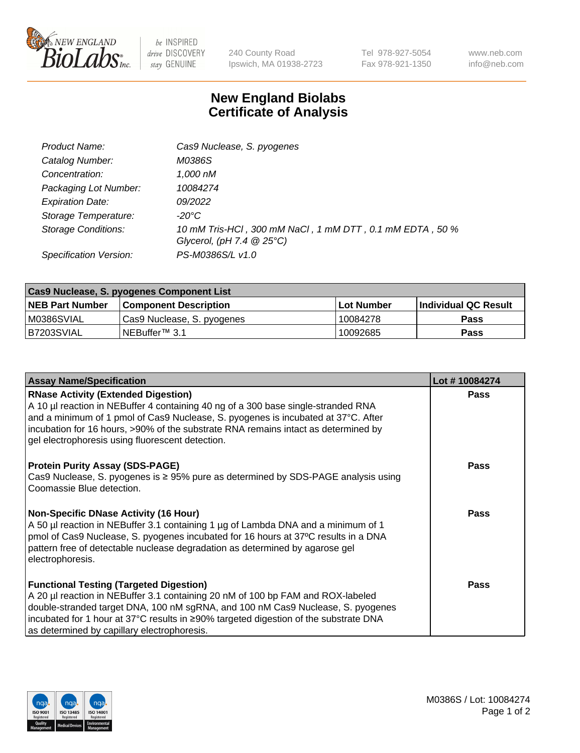

 $be$  INSPIRED drive DISCOVERY stay GENUINE

240 County Road Ipswich, MA 01938-2723 Tel 978-927-5054 Fax 978-921-1350 www.neb.com info@neb.com

## **New England Biolabs Certificate of Analysis**

| Product Name:              | Cas9 Nuclease, S. pyogenes                                                              |
|----------------------------|-----------------------------------------------------------------------------------------|
| Catalog Number:            | M0386S                                                                                  |
| Concentration:             | 1,000 nM                                                                                |
| Packaging Lot Number:      | 10084274                                                                                |
| <b>Expiration Date:</b>    | 09/2022                                                                                 |
| Storage Temperature:       | -20°C                                                                                   |
| <b>Storage Conditions:</b> | 10 mM Tris-HCl, 300 mM NaCl, 1 mM DTT, 0.1 mM EDTA, 50 %<br>Glycerol, (pH 7.4 $@25°C$ ) |
| Specification Version:     | PS-M0386S/L v1.0                                                                        |

| Cas9 Nuclease, S. pyogenes Component List |                              |            |                      |  |  |
|-------------------------------------------|------------------------------|------------|----------------------|--|--|
| <b>NEB Part Number</b>                    | <b>Component Description</b> | Lot Number | Individual QC Result |  |  |
| M0386SVIAL                                | Cas9 Nuclease, S. pyogenes   | 10084278   | <b>Pass</b>          |  |  |
| B7203SVIAL                                | INEBuffer™ 3.1               | 10092685   | Pass                 |  |  |

| <b>Assay Name/Specification</b>                                                                                                                                                                                                                                                                                                                                | Lot #10084274 |
|----------------------------------------------------------------------------------------------------------------------------------------------------------------------------------------------------------------------------------------------------------------------------------------------------------------------------------------------------------------|---------------|
| <b>RNase Activity (Extended Digestion)</b><br>A 10 µl reaction in NEBuffer 4 containing 40 ng of a 300 base single-stranded RNA<br>and a minimum of 1 pmol of Cas9 Nuclease, S. pyogenes is incubated at 37°C. After<br>incubation for 16 hours, >90% of the substrate RNA remains intact as determined by<br>gel electrophoresis using fluorescent detection. | <b>Pass</b>   |
| <b>Protein Purity Assay (SDS-PAGE)</b><br>Cas9 Nuclease, S. pyogenes is $\geq$ 95% pure as determined by SDS-PAGE analysis using<br>Coomassie Blue detection.                                                                                                                                                                                                  | <b>Pass</b>   |
| <b>Non-Specific DNase Activity (16 Hour)</b><br>A 50 µl reaction in NEBuffer 3.1 containing 1 µg of Lambda DNA and a minimum of 1<br>pmol of Cas9 Nuclease, S. pyogenes incubated for 16 hours at 37°C results in a DNA<br>pattern free of detectable nuclease degradation as determined by agarose gel<br>electrophoresis.                                    | Pass          |
| <b>Functional Testing (Targeted Digestion)</b><br>A 20 µl reaction in NEBuffer 3.1 containing 20 nM of 100 bp FAM and ROX-labeled<br>double-stranded target DNA, 100 nM sgRNA, and 100 nM Cas9 Nuclease, S. pyogenes<br>incubated for 1 hour at 37°C results in ≥90% targeted digestion of the substrate DNA<br>as determined by capillary electrophoresis.    | Pass          |